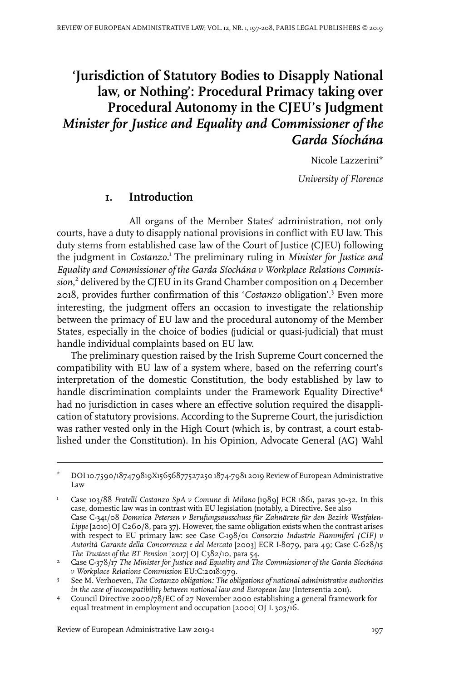# **'Jurisdiction of Statutory Bodies to Disapply National law, or Nothing': Procedural Primacy taking over Procedural Autonomy in the CJEU's Judgment** *Minister for Justice and Equality and Commissioner of the Garda Síochána*

Nicole Lazzerini\*

*University of Florence*

### **1. Introduction**

All organs of the Member States' administration, not only courts, have a duty to disapply national provisions in conflict with EU law. This duty stems from established case law of the Court of Justice (CJEU) following the judgment in *Costanzo*. 1 The preliminary ruling in *Minister for Justice and Equality and Commissioner of the Garda Síochána v Workplace Relations Commission*, 2 delivered by the CJEU in its Grand Chamber composition on 4 December 2018, provides further confirmation of this '*Costanzo* obligation'.<sup>3</sup> Even more interesting, the judgment offers an occasion to investigate the relationship between the primacy of EU law and the procedural autonomy of the Member States, especially in the choice of bodies (judicial or quasi-judicial) that must handle individual complaints based on EU law.

The preliminary question raised by the Irish Supreme Court concerned the compatibility with EU law of a system where, based on the referring court's interpretation of the domestic Constitution, the body established by law to handle discrimination complaints under the Framework Equality Directive<sup>4</sup> had no jurisdiction in cases where an effective solution required the disapplication of statutory provisions. According to the Supreme Court, the jurisdiction was rather vested only in the High Court (which is, by contrast, a court established under the Constitution). In his Opinion, Advocate General (AG) Wahl

DOI10.7590/187479819X15656877527250 1874-7981 2019 Review of European Administrative Law \*

Case 103/88 *Fratelli Costanzo SpA v Comune di Milano* [1989] ECR 1861, paras 30-32. In this case, domestic law was in contrast with EU legislation (notably, a Directive. See also 1 Case C-341/08 *Domnica Petersen v Berufungsausschuss für Zahnärzte für den Bezirk Westfalen-Lippe* [2010] OJ C260/8, para 37). However, the same obligation exists when the contrast arises with respect to EU primary law: see Case C-198/01 *Consorzio Industrie Fiammiferi (CIF) v Autorità Garante della Concorrenza e del Mercato* [2003] ECR I-8079, para 49; Case C-628/15 *The Trustees of the BT Pension* [2017] OJ C382/10, para 54.

Case C-378/17 *The Minister for Justice and Equality and The Commissioner of the Garda Síochána* 2 *v Workplace Relations Commission* EU:C:2018:979.

See M. Verhoeven, *The Costanzo obligation: The obligations of national administrative authorities in the case of incompatibility between national law and European law* (Intersentia 2011). 3

Council Directive 2000/78/EC of 27 November 2000 establishing a general framework for equal treatment in employment and occupation [2000] OJ L 303/16. 4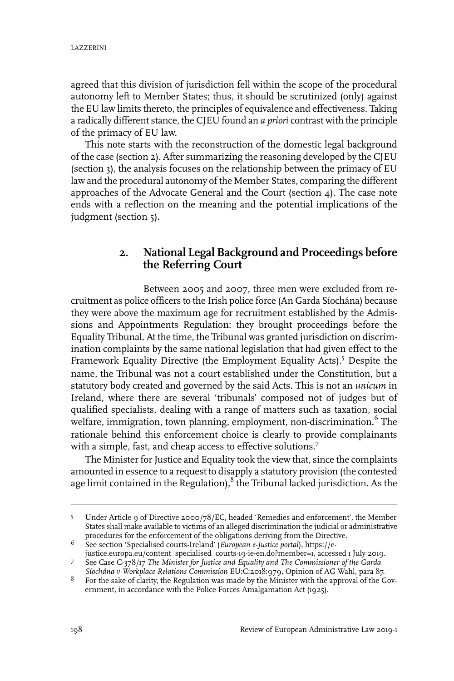agreed that this division of jurisdiction fell within the scope of the procedural autonomy left to Member States; thus, it should be scrutinized (only) against the EU law limits thereto, the principles of equivalence and effectiveness. Taking a radically different stance, the CJEU found an *a priori* contrast with the principle of the primacy of EU law.

This note starts with the reconstruction of the domestic legal background of the case (section 2). After summarizing the reasoning developed by the CJEU (section 3), the analysis focuses on the relationship between the primacy of EU law and the procedural autonomy of the Member States, comparing the different approaches of the Advocate General and the Court (section 4). The case note ends with a reflection on the meaning and the potential implications of the judgment (section 5).

## **2. National Legal Background and Proceedings before the Referring Court**

Between 2005 and 2007, three men were excluded from recruitment as police officers to the Irish police force (An Garda Síochána) because they were above the maximum age for recruitment established by the Admissions and Appointments Regulation: they brought proceedings before the Equality Tribunal. At the time, the Tribunal was granted jurisdiction on discrimination complaints by the same national legislation that had given effect to the Framework Equality Directive (the Employment Equality Acts).<sup>5</sup> Despite the name, the Tribunal was not a court established under the Constitution, but a statutory body created and governed by the said Acts. This is not an *unicum* in Ireland, where there are several 'tribunals' composed not of judges but of qualified specialists, dealing with a range of matters such as taxation, social welfare, immigration, town planning, employment, non-discrimination.  $^6$  The rationale behind this enforcement choice is clearly to provide complainants with a simple, fast, and cheap access to effective solutions.<sup>7</sup>

The Minister for Justice and Equality took the view that, since the complaints amounted in essence to a request to disapply a statutory provision (the contested age limit contained in the Regulation), $^8$  the Tribunal lacked jurisdiction. As the

Under Article 9 of Directive 2000/78/EC, headed 'Remedies and enforcement', the Member States shall make available to victims of an alleged discrimination the judicial or administrative procedures for the enforcement of the obligations deriving from the Directive. 5

See section 'Specialised courts-Ireland' (*European e-Justice portal*), https://e-6 justice.europa.eu/content\_specialised\_courts-19-ie-en.do?member=1, accessed 1 July 2019.

See Case C-378/17 *The Minister for Justice and Equality and The Commissioner of the Garda Síochána v Workplace Relations Commission* EU:C:2018:979, Opinion of AG Wahl, para 87. 7

 $8$  For the sake of clarity, the Regulation was made by the Minister with the approval of the Government, in accordance with the Police Forces Amalgamation Act (1925).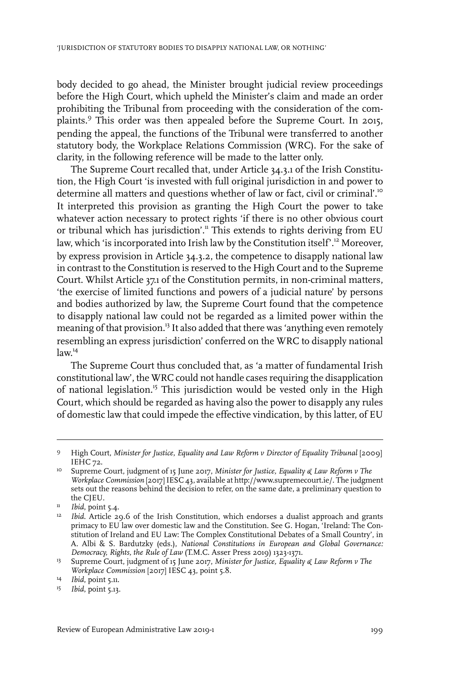body decided to go ahead, the Minister brought judicial review proceedings before the High Court, which upheld the Minister's claim and made an order prohibiting the Tribunal from proceeding with the consideration of the complaints.<sup>9</sup> This order was then appealed before the Supreme Court. In 2015, pending the appeal, the functions of the Tribunal were transferred to another statutory body, the Workplace Relations Commission (WRC). For the sake of clarity, in the following reference will be made to the latter only.

The Supreme Court recalled that, under Article 34.3.1 of the Irish Constitution, the High Court 'is invested with full original jurisdiction in and power to determine all matters and questions whether of law or fact, civil or criminal'.<sup>10</sup> It interpreted this provision as granting the High Court the power to take whatever action necessary to protect rights 'if there is no other obvious court or tribunal which has jurisdiction'.<sup>11</sup> This extends to rights deriving from EU law, which 'is incorporated into Irish law by the Constitution itself'.<sup>12</sup> Moreover, by express provision in Article 34.3.2, the competence to disapply national law in contrast to the Constitution is reserved to the High Court and to the Supreme Court. Whilst Article 37.1 of the Constitution permits, in non-criminal matters, 'the exercise of limited functions and powers of a judicial nature' by persons and bodies authorized by law, the Supreme Court found that the competence to disapply national law could not be regarded as a limited power within the meaning of that provision.<sup>13</sup> It also added that there was 'anything even remotely resembling an express jurisdiction' conferred on the WRC to disapply national law. 14

The Supreme Court thus concluded that, as 'a matter of fundamental Irish constitutional law', the WRC could not handle cases requiring the disapplication of national legislation.<sup>15</sup> This jurisdiction would be vested only in the High Court, which should be regarded as having also the power to disapply any rules of domestic law that could impede the effective vindication, by this latter, of EU

High Court, *Minister for Justice, Equality and Law Reform v Director of Equality Tribunal* [2009] 9 IEHC 72.

Supreme Court, judgment of 15 June 2017, *Minister for Justice, Equality & Law Reform v The* 10 *Workplace Commission* [2017]IESC 43, available at http://www.supremecourt.ie/. The judgment sets out the reasons behind the decision to refer, on the same date, a preliminary question to the CJEU.

<sup>&</sup>lt;sup>11</sup> *Ibid*, point 5.4.

<sup>&</sup>lt;sup>12</sup> Ibid. Article 29.6 of the Irish Constitution, which endorses a dualist approach and grants primacy to EU law over domestic law and the Constitution. See G. Hogan, 'Ireland: The Constitution of Ireland and EU Law: The Complex Constitutional Debates of a Small Country', in A. Albi & S. Bardutzky (eds.), *National Constitutions in European and Global Governance: Democracy, Rights, the Rule of Law* (T.M.C. Asser Press 2019) 1323-1371.

Supreme Court, judgment of 15 June 2017, *Minister for Justice, Equality & Law Reform v The* 13 *Workplace Commission* [2017] IESC 43, point 5.8.

<sup>&</sup>lt;sup>14</sup> *Ibid*, point 5.11.

<sup>&</sup>lt;sup>15</sup> *Ibid*, point 5.13.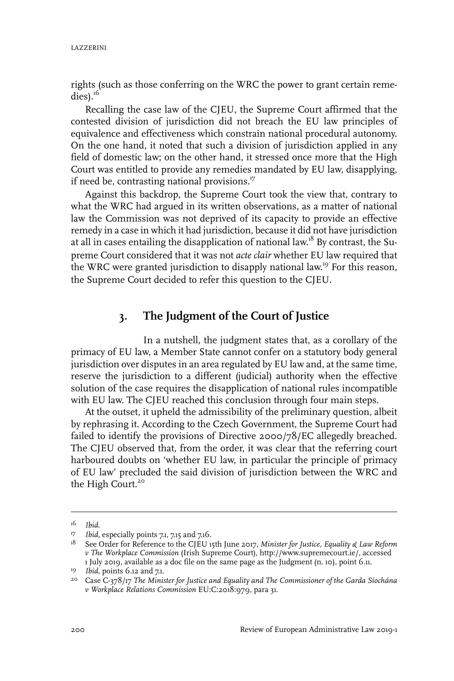rights (such as those conferring on the WRC the power to grant certain reme $dies$ ).<sup>16</sup>

Recalling the case law of the CJEU, the Supreme Court affirmed that the contested division of jurisdiction did not breach the EU law principles of equivalence and effectiveness which constrain national procedural autonomy. On the one hand, it noted that such a division of jurisdiction applied in any field of domestic law; on the other hand, it stressed once more that the High Court was entitled to provide any remedies mandated by EU law, disapplying, if need be, contrasting national provisions. $17$ 

Against this backdrop, the Supreme Court took the view that, contrary to what the WRC had argued in its written observations, as a matter of national law the Commission was not deprived of its capacity to provide an effective remedy in a case in which it had jurisdiction, because it did not have jurisdiction at all in cases entailing the disapplication of national law.<sup>18</sup> By contrast, the Supreme Court considered that it was not *acte clair* whether EU law required that the WRC were granted jurisdiction to disapply national law.<sup>19</sup> For this reason, the Supreme Court decided to refer this question to the CJEU.

#### **3. The Judgment of the Court of Justice**

In a nutshell, the judgment states that, as a corollary of the primacy of EU law, a Member State cannot confer on a statutory body general jurisdiction over disputes in an area regulated by EU law and, at the same time, reserve the jurisdiction to a different (judicial) authority when the effective solution of the case requires the disapplication of national rules incompatible with EU law. The CJEU reached this conclusion through four main steps.

At the outset, it upheld the admissibility of the preliminary question, albeit by rephrasing it. According to the Czech Government, the Supreme Court had failed to identify the provisions of Directive 2000/78/EC allegedly breached. The CJEU observed that, from the order, it was clear that the referring court harboured doubts on 'whether EU law, in particular the principle of primacy of EU law' precluded the said division of jurisdiction between the WRC and the High Court.<sup>20</sup>

*Ibid*. 16

*I7 Ibid*, especially points 7.1, 7.15 and 7.16.

See Order for Reference to the CJEU 15th June 2017, *Minister for Justice, Equality & Law Reform* 18 *v The Workplace Commission* (Irish Supreme Court), http://www.supremecourt.ie/, accessed 1 July 2019, available as a doc file on the same page as the Judgment (n. 10), point 6.11.

<sup>&</sup>lt;sup>19</sup> *Ibid*, points 6.12 and 7.1.

Case C-378/17 *The Minister for Justice and Equality and The Commissioner of the Garda Síochána* 20 *v Workplace Relations Commission* EU:C:2018:979, para 31.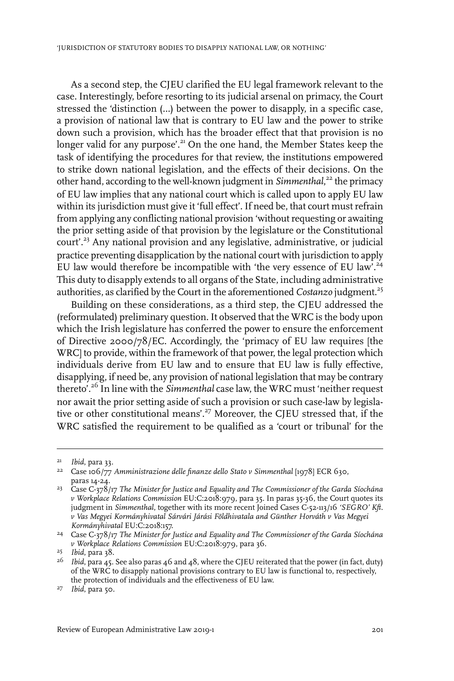As a second step, the CJEU clarified the EU legal framework relevant to the case. Interestingly, before resorting to its judicial arsenal on primacy, the Court stressed the 'distinction (…) between the power to disapply, in a specific case, a provision of national law that is contrary to EU law and the power to strike down such a provision, which has the broader effect that that provision is no longer valid for any purpose'.<sup>21</sup> On the one hand, the Member States keep the task of identifying the procedures for that review, the institutions empowered to strike down national legislation, and the effects of their decisions. On the other hand, according to the well-known judgment in *Simmenthal*,<sup>22</sup> the primacy of EU law implies that any national court which is called upon to apply EU law within its jurisdiction must give it 'full effect'. If need be, that court must refrain from applying any conflicting national provision 'without requesting or awaiting the prior setting aside of that provision by the legislature or the Constitutional court'.<sup>23</sup> Any national provision and any legislative, administrative, or judicial practice preventing disapplication by the national court with jurisdiction to apply EU law would therefore be incompatible with 'the very essence of EU law'.<sup>24</sup> This duty to disapply extends to all organs of the State, including administrative authorities, as clarified by the Court in the aforementioned *Costanzo* judgment.<sup>25</sup>

Building on these considerations, as a third step, the CJEU addressed the (reformulated) preliminary question. It observed that the WRC is the body upon which the Irish legislature has conferred the power to ensure the enforcement of Directive 2000/78/EC. Accordingly, the 'primacy of EU law requires [the WRC] to provide, within the framework of that power, the legal protection which individuals derive from EU law and to ensure that EU law is fully effective, disapplying, if need be, any provision of national legislation that may be contrary thereto'.<sup>26</sup> In line with the *Simmenthal* case law, the WRC must 'neither request nor await the prior setting aside of such a provision or such case-law by legislative or other constitutional means'.<sup>27</sup> Moreover, the CJEU stressed that, if the WRC satisfied the requirement to be qualified as a 'court or tribunal' for the

<sup>&</sup>lt;sup>21</sup> *Ibid*, para 33.

Case 106/77 *Amministrazione delle finanze dello Stato v Simmenthal* [1978] ECR 630, <sup>22</sup> paras 14-24.

Case C-378/17 *The Minister for Justice and Equality and The Commissioner of the Garda Síochána* 23 *v Workplace Relations Commission* EU:C:2018:979, para 35.In paras 35-36, the Court quotes its judgment in *Simmenthal*, together with its more recent Joined Cases C-52-113/16 *'SEGRO' Kft. v Vas Megyei Kormányhivatal Sárvári Járási Földhivatala and Günther Horváth v Vas Megyei Kormányhivatal* EU:C:2018:157.

Case C-378/17 *The Minister for Justice and Equality and The Commissioner of the Garda Síochána* 24 *v Workplace Relations Commission* EU:C:2018:979, para 36.

<sup>&</sup>lt;sup>25</sup> *Ibid*, para 38.

 $^{26}$  Ibid, para 45. See also paras 46 and 48, where the CJEU reiterated that the power (in fact, duty) of the WRC to disapply national provisions contrary to EU law is functional to, respectively, the protection of individuals and the effectiveness of EU law.

<sup>&</sup>lt;sup>27</sup> *Ibid*, para 50.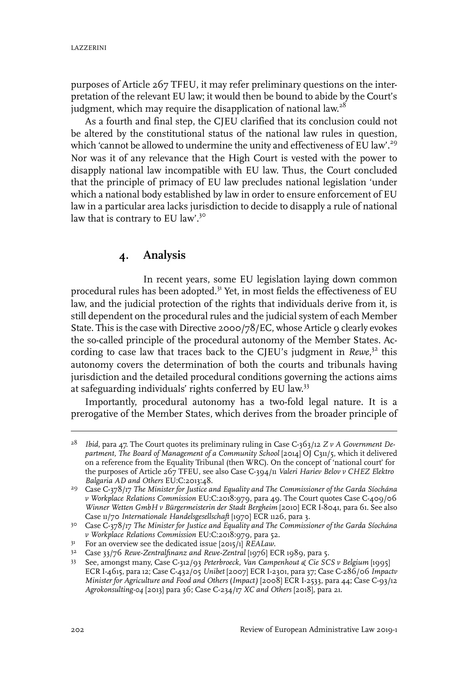purposes of Article 267 TFEU, it may refer preliminary questions on the interpretation of the relevant EU law; it would then be bound to abide by the Court's judgment, which may require the disapplication of national law.<sup>28</sup>

As a fourth and final step, the CJEU clarified that its conclusion could not be altered by the constitutional status of the national law rules in question, which 'cannot be allowed to undermine the unity and effectiveness of EU law'.<sup>29</sup> Nor was it of any relevance that the High Court is vested with the power to disapply national law incompatible with EU law. Thus, the Court concluded that the principle of primacy of EU law precludes national legislation 'under which a national body established by law in order to ensure enforcement of EU law in a particular area lacks jurisdiction to decide to disapply a rule of national law that is contrary to EU law'.<sup>30</sup>

# **4. Analysis**

In recent years, some EU legislation laying down common procedural rules has been adopted.<sup>31</sup> Yet, in most fields the effectiveness of EU law, and the judicial protection of the rights that individuals derive from it, is still dependent on the procedural rules and the judicial system of each Member State. This is the case with Directive 2000/78/EC, whose Article 9 clearly evokes the so-called principle of the procedural autonomy of the Member States. According to case law that traces back to the CJEU's judgment in *Rewe*,<sup>32</sup> this autonomy covers the determination of both the courts and tribunals having jurisdiction and the detailed procedural conditions governing the actions aims at safeguarding individuals' rights conferred by EU law.<sup>33</sup>

Importantly, procedural autonomy has a two-fold legal nature. It is a prerogative of the Member States, which derives from the broader principle of

*Ibid*, para 47. The Court quotes its preliminary ruling in Case C-363/12 *Z v A Government De-*28 *partment, The Board of Management of a Community School* [2014] OJ C311/5, which it delivered on a reference from the Equality Tribunal (then WRC). On the concept of 'national court' for the purposes of Article 267 TFEU, see also Case C-394/11 *Valeri Hariev Belov v CHEZ Elektro Balgaria AD and Others* EU:C:2013:48.

Case C-378/17 *The Minister for Justice and Equality and The Commissioner of the Garda Síochána* 29 *v Workplace Relations Commission* EU:C:2018:979, para 49. The Court quotes Case C-409/06 *Winner Wetten GmbH v Bürgermeisterin der Stadt Bergheim* [2010] ECR I-8041, para 61. See also Case 11/70 *Internationale Handelsgesellschaft* [1970] ECR 1126, para 3.

Case C-378/17 *The Minister for Justice and Equality and The Commissioner of the Garda Síochána* 30 *v Workplace Relations Commission* EU:C:2018:979, para 52.

For an overview see the dedicated issue [2015/1] *REALaw*. 31

<sup>&</sup>lt;sup>32</sup> Case 33/76 *Rewe-Zentralfinanz and Rewe-Zentral* [1976] ECR 1989, para 5.

See, amongst many, Case C-312/93 *Peterbroeck, Van Campenhout & Cie SCS v Belgium* [1995] 33 ECR I-4615, para 12; Case C-432/05 *Unibet* [2007] ECR I-2301, para 37; Case C-286/06 *Impactv Minister for Agriculture and Food and Others* (*Impact)* [2008] ECR I-2533, para 44; Case C-93/12 *Agrokonsulting-04* [2013] para 36; Case C-234/17 *XC and Others* [2018], para 21.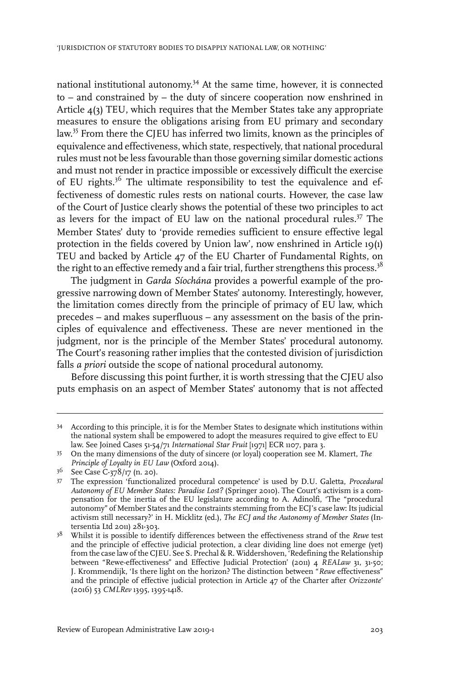national institutional autonomy. <sup>34</sup> At the same time, however, it is connected to – and constrained by – the duty of sincere cooperation now enshrined in Article 4(3) TEU, which requires that the Member States take any appropriate measures to ensure the obligations arising from EU primary and secondary law. <sup>35</sup> From there the CJEU has inferred two limits, known as the principles of equivalence and effectiveness, which state, respectively, that national procedural rules must not be less favourable than those governing similar domestic actions and must not render in practice impossible or excessively difficult the exercise of EU rights.<sup>36</sup> The ultimate responsibility to test the equivalence and effectiveness of domestic rules rests on national courts. However, the case law of the Court of Justice clearly shows the potential of these two principles to act as levers for the impact of EU law on the national procedural rules.<sup>37</sup> The Member States' duty to 'provide remedies sufficient to ensure effective legal protection in the fields covered by Union law', now enshrined in Article 19(1) TEU and backed by Article 47 of the EU Charter of Fundamental Rights, on the right to an effective remedy and a fair trial, further strengthens this process.<sup>38</sup>

The judgment in *Garda Síochána* provides a powerful example of the progressive narrowing down of Member States' autonomy. Interestingly, however, the limitation comes directly from the principle of primacy of EU law, which precedes – and makes superfluous – any assessment on the basis of the principles of equivalence and effectiveness. These are never mentioned in the judgment, nor is the principle of the Member States' procedural autonomy. The Court's reasoning rather implies that the contested division of jurisdiction falls *a priori* outside the scope of national procedural autonomy.

Before discussing this point further, it is worth stressing that the CJEU also puts emphasis on an aspect of Member States' autonomy that is not affected

<sup>34</sup> According to this principle, it is for the Member States to designate which institutions within the national system shall be empowered to adopt the measures required to give effect to EU law. See Joined Cases 51-54/71 *International Star Fruit* [1971] ECR 1107, para 3.

On the many dimensions of the duty of sincere (or loyal) cooperation see M. Klamert, *The* 35 *Principle of Loyalty in EU Law* (Oxford 2014).

 $3^{6}$  See Case C- $37^{8}/17$  (n. 20).

The expression 'functionalized procedural competence' is used by D.U. Galetta, *Procedural* 37 *Autonomy of EU Member States: Paradise Lost?* (Springer 2010). The Court's activism is a compensation for the inertia of the EU legislature according to A. Adinolfi, 'The "procedural autonomy" of Member States and the constraints stemming from the ECJ's case law:Its judicial activism still necessary?' in H. Micklitz (ed.), *The ECJ and the Autonomy of Member States* (Intersentia Ltd 2011) 281-303.

Whilst it is possible to identify differences between the effectiveness strand of the *Rewe* test 38 and the principle of effective judicial protection, a clear dividing line does not emerge (yet) from the case law of the CJEU. See S. Prechal & R. Widdershoven, 'Redefining the Relationship between "Rewe-effectiveness" and Effective Judicial Protection' (2011) 4 *REALaw* 31, 31-50; J. Krommendijk, 'Is there light on the horizon? The distinction between "*Rewe* effectiveness" and the principle of effective judicial protection in Article 47 of the Charter after *Orizzonte*' (2016) 53 *CMLRev* 1395, 1395-1418.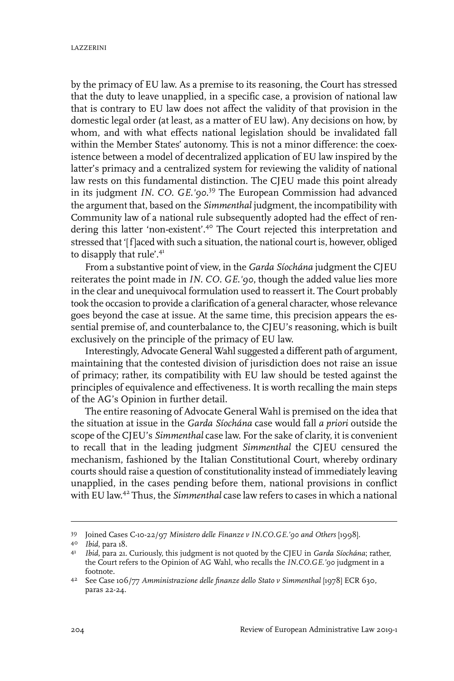by the primacy of EU law. As a premise to its reasoning, the Court has stressed that the duty to leave unapplied, in a specific case, a provision of national law that is contrary to EU law does not affect the validity of that provision in the domestic legal order (at least, as a matter of EU law). Any decisions on how, by whom, and with what effects national legislation should be invalidated fall within the Member States' autonomy. This is not a minor difference: the coexistence between a model of decentralized application of EU law inspired by the latter's primacy and a centralized system for reviewing the validity of national law rests on this fundamental distinction. The CJEU made this point already in its judgment *IN. CO. GE.'90*. <sup>39</sup> The European Commission had advanced the argument that, based on the *Simmenthal* judgment, the incompatibility with Community law of a national rule subsequently adopted had the effect of rendering this latter 'non-existent'.<sup>40</sup> The Court rejected this interpretation and stressed that '[f]aced with such a situation, the national court is, however, obliged to disapply that rule'.<sup>41</sup>

From a substantive point of view, in the *Garda Síochána* judgment the CJEU reiterates the point made in *IN. CO. GE.'90*, though the added value lies more in the clear and unequivocal formulation used to reassert it. The Court probably took the occasion to provide a clarification of a general character, whose relevance goes beyond the case at issue. At the same time, this precision appears the essential premise of, and counterbalance to, the CJEU's reasoning, which is built exclusively on the principle of the primacy of EU law.

Interestingly, Advocate General Wahl suggested a different path of argument, maintaining that the contested division of jurisdiction does not raise an issue of primacy; rather, its compatibility with EU law should be tested against the principles of equivalence and effectiveness. It is worth recalling the main steps of the AG's Opinion in further detail.

The entire reasoning of Advocate General Wahl is premised on the idea that the situation at issue in the *Garda Síochána* case would fall *a priori* outside the scope of the CJEU's *Simmenthal* case law. For the sake of clarity, it is convenient to recall that in the leading judgment *Simmenthal* the CJEU censured the mechanism, fashioned by the Italian Constitutional Court, whereby ordinary courts should raise a question of constitutionality instead of immediately leaving unapplied, in the cases pending before them, national provisions in conflict with EU law. <sup>42</sup> Thus, the *Simmenthal* case law refers to cases in which a national

Joined Cases C-10-22/97 *Ministero delle Finanze v IN.CO.GE.'90 and Others* [1998]. <sup>39</sup>

*Ibid*, para 18. <sup>40</sup>

*Ibid*, para 21. Curiously, this judgment is not quoted by the CJEU in *Garda Síochána*; rather, 41 the Court refers to the Opinion of AG Wahl, who recalls the *IN.CO.GE.'90* judgment in a footnote.

See Case 106/77 *Amministrazione delle finanze dello Stato v Simmenthal* [1978] ECR 630, <sup>42</sup> paras 22-24.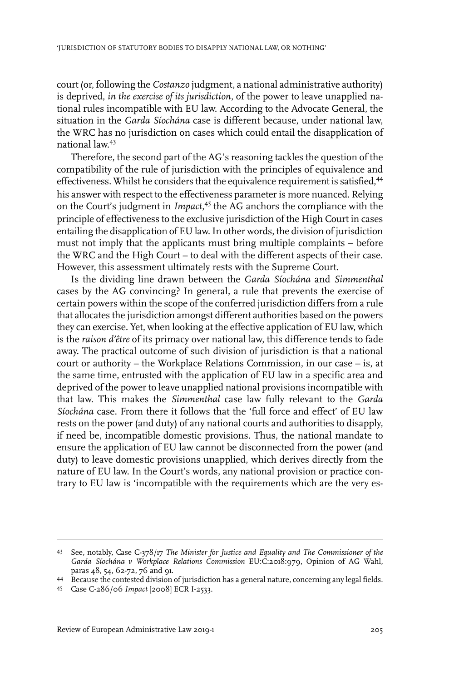court (or, following the *Costanzo* judgment, a national administrative authority) is deprived, *in the exercise of its jurisdiction*, of the power to leave unapplied national rules incompatible with EU law. According to the Advocate General, the situation in the *Garda Síochána* case is different because, under national law, the WRC has no jurisdiction on cases which could entail the disapplication of national law. 43

Therefore, the second part of the AG's reasoning tackles the question of the compatibility of the rule of jurisdiction with the principles of equivalence and effectiveness. Whilst he considers that the equivalence requirement is satisfied,<sup>44</sup> his answer with respect to the effectiveness parameter is more nuanced. Relying on the Court's judgment in *Impact*, <sup>45</sup> the AG anchors the compliance with the principle of effectiveness to the exclusive jurisdiction of the High Court in cases entailing the disapplication of EU law.In other words, the division of jurisdiction must not imply that the applicants must bring multiple complaints – before the WRC and the High Court – to deal with the different aspects of their case. However, this assessment ultimately rests with the Supreme Court.

Is the dividing line drawn between the *Garda Síochána* and *Simmenthal* cases by the AG convincing? In general, a rule that prevents the exercise of certain powers within the scope of the conferred jurisdiction differs from a rule that allocates the jurisdiction amongst different authorities based on the powers they can exercise. Yet, when looking at the effective application of EU law, which is the *raison d'être* of its primacy over national law, this difference tends to fade away. The practical outcome of such division of jurisdiction is that a national court or authority – the Workplace Relations Commission, in our case – is, at the same time, entrusted with the application of EU law in a specific area and deprived of the power to leave unapplied national provisions incompatible with that law. This makes the *Simmenthal* case law fully relevant to the *Garda Síochána* case. From there it follows that the 'full force and effect' of EU law rests on the power (and duty) of any national courts and authorities to disapply, if need be, incompatible domestic provisions. Thus, the national mandate to ensure the application of EU law cannot be disconnected from the power (and duty) to leave domestic provisions unapplied, which derives directly from the nature of EU law. In the Court's words, any national provision or practice contrary to EU law is 'incompatible with the requirements which are the very es-

See, notably, Case C-378/17 *The Minister for Justice and Equality and The Commissioner of the* 43 *Garda Síochána v Workplace Relations Commission* EU:C:2018:979, Opinion of AG Wahl, paras 48, 54, 62-72, 76 and 91.

Because the contested division of jurisdiction has a general nature, concerning any legal fields. <sup>44</sup>

Case C-286/06 *Impact* [2008] ECR I-2533. <sup>45</sup>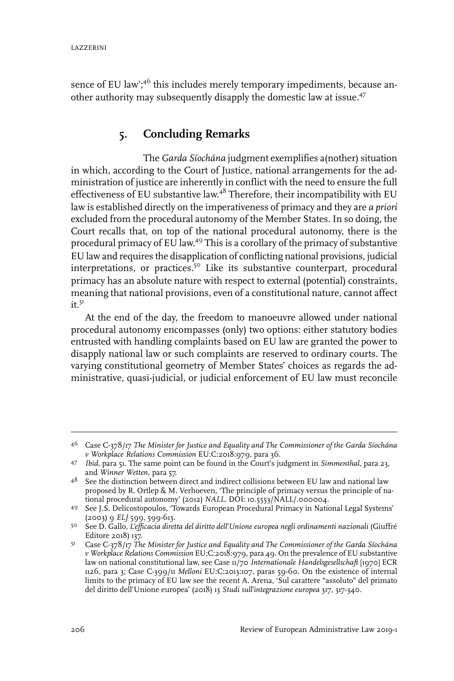sence of EU law';<sup>46</sup> this includes merely temporary impediments, because another authority may subsequently disapply the domestic law at issue.<sup>47</sup>

## **5. Concluding Remarks**

The *Garda Síochána* judgment exemplifies a(nother) situation in which, according to the Court of Justice, national arrangements for the administration of justice are inherently in conflict with the need to ensure the full effectiveness of EU substantive law.<sup>48</sup> Therefore, their incompatibility with EU law is established directly on the imperativeness of primacy and they are *a priori* excluded from the procedural autonomy of the Member States. In so doing, the Court recalls that, on top of the national procedural autonomy, there is the procedural primacy of EU law.<sup>49</sup> This is a corollary of the primacy of substantive EU law and requires the disapplication of conflicting national provisions, judicial interpretations, or practices.<sup>50</sup> Like its substantive counterpart, procedural primacy has an absolute nature with respect to external (potential) constraints, meaning that national provisions, even of a constitutional nature, cannot affect  $it.5<sup>1</sup>$ 

At the end of the day, the freedom to manoeuvre allowed under national procedural autonomy encompasses (only) two options: either statutory bodies entrusted with handling complaints based on EU law are granted the power to disapply national law or such complaints are reserved to ordinary courts. The varying constitutional geometry of Member States' choices as regards the administrative, quasi-judicial, or judicial enforcement of EU law must reconcile

Case C-378/17 *The Minister for Justice and Equality and The Commissioner of the Garda Síochána* 46 *v Workplace Relations Commission* EU:C:2018:979, para 36.

<sup>&</sup>lt;sup>47</sup> Ibid, para 51. The same point can be found in the Court's judgment in *Simmenthal*, para 23, and *Winner Wetten*, para 57.

<sup>&</sup>lt;sup>48</sup> See the distinction between direct and indirect collisions between EU law and national law proposed by R. Ortlep & M. Verhoeven, 'The principle of primacy versus the principle of national procedural autonomy' (2012) *NALL*, DOI: 10.5553/NALL/.000004.

<sup>49</sup> See J.S. Delicostopoulos, 'Towards European Procedural Primacy in National Legal Systems' (2003) 9 *ELJ* 599, 599-613.

See D. Gallo, *L'efficacia diretta del diritto dell'Unione europea negli ordinamenti nazionali* (Giuffré 50 Editore 2018) 137.

Case C-378/17 *The Minister for Justice and Equality and The Commissioner of the Garda Síochána* 51 *v Workplace Relations Commission* EU:C:2018:979, para 49. On the prevalence of EU substantive law on national constitutional law, see Case 11/70 *Internationale Handelsgesellschaft* [1970] ECR 1126, para 3; Case C-399/11 *Melloni* EU:C:2013:107, paras 59-60. On the existence of internal limits to the primacy of EU law see the recent A. Arena, 'Sul carattere "assoluto" del primato del diritto dell'Unione europea' (2018) 13 *Studi sull'integrazione europea* 317, 317-340.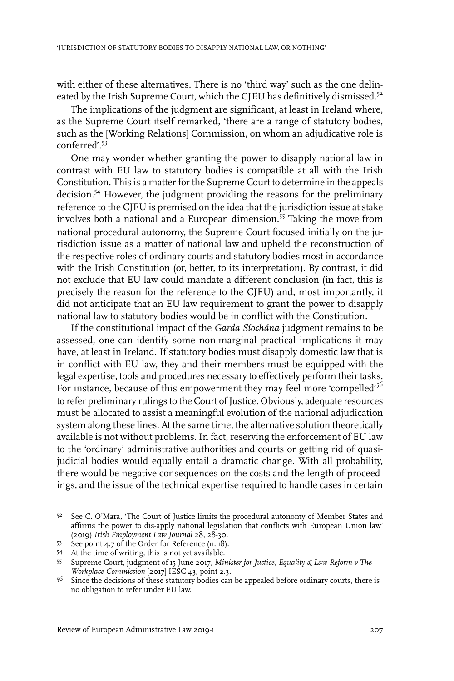with either of these alternatives. There is no 'third way' such as the one delineated by the Irish Supreme Court, which the CJEU has definitively dismissed.<sup>52</sup>

The implications of the judgment are significant, at least in Ireland where, as the Supreme Court itself remarked, 'there are a range of statutory bodies, such as the [Working Relations] Commission, on whom an adjudicative role is conferred'.<sup>53</sup>

One may wonder whether granting the power to disapply national law in contrast with EU law to statutory bodies is compatible at all with the Irish Constitution. This is a matter for the Supreme Court to determine in the appeals decision.<sup>54</sup> However, the judgment providing the reasons for the preliminary reference to the CJEU is premised on the idea that the jurisdiction issue at stake involves both a national and a European dimension.<sup>55</sup> Taking the move from national procedural autonomy, the Supreme Court focused initially on the jurisdiction issue as a matter of national law and upheld the reconstruction of the respective roles of ordinary courts and statutory bodies most in accordance with the Irish Constitution (or, better, to its interpretation). By contrast, it did not exclude that EU law could mandate a different conclusion (in fact, this is precisely the reason for the reference to the CJEU) and, most importantly, it did not anticipate that an EU law requirement to grant the power to disapply national law to statutory bodies would be in conflict with the Constitution.

If the constitutional impact of the *Garda Síochána* judgment remains to be assessed, one can identify some non-marginal practical implications it may have, at least in Ireland. If statutory bodies must disapply domestic law that is in conflict with EU law, they and their members must be equipped with the legal expertise, tools and procedures necessary to effectively perform their tasks. For instance, because of this empowerment they may feel more 'compelled'<sup>56</sup> to refer preliminary rulings to the Court of Justice. Obviously, adequate resources must be allocated to assist a meaningful evolution of the national adjudication system along these lines. At the same time, the alternative solution theoretically available is not without problems. In fact, reserving the enforcement of EU law to the 'ordinary' administrative authorities and courts or getting rid of quasijudicial bodies would equally entail a dramatic change. With all probability, there would be negative consequences on the costs and the length of proceedings, and the issue of the technical expertise required to handle cases in certain

<sup>5&</sup>lt;sup>2</sup> See C. O'Mara, 'The Court of Justice limits the procedural autonomy of Member States and affirms the power to dis-apply national legislation that conflicts with European Union law' (2019) *Irish Employment Law Journal* 28, 28-30.

See point 4.7 of the Order for Reference  $(n. 18)$ .

At the time of writing, this is not yet available. <sup>54</sup>

Supreme Court, judgment of 15 June 2017, *Minister for Justice, Equality & Law Reform v The* 55 *Workplace Commission* [2017]IESC 43, point 2.3.

 $5<sup>6</sup>$  Since the decisions of these statutory bodies can be appealed before ordinary courts, there is no obligation to refer under EU law.